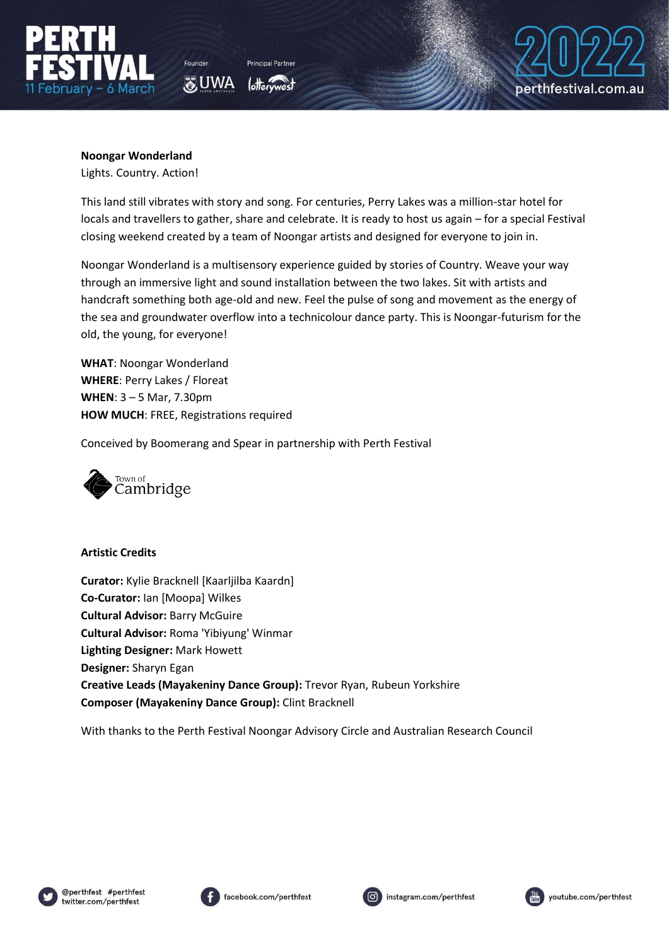

Founder

**O**UWA

perthfestival.com.au

# **Noongar Wonderland**

Lights. Country. Action!

This land still vibrates with story and song. For centuries, Perry Lakes was a million-star hotel for locals and travellers to gather, share and celebrate. It is ready to host us again – for a special Festival closing weekend created by a team of Noongar artists and designed for everyone to join in.

Noongar Wonderland is a multisensory experience guided by stories of Country. Weave your way through an immersive light and sound installation between the two lakes. Sit with artists and handcraft something both age-old and new. Feel the pulse of song and movement as the energy of the sea and groundwater overflow into a technicolour dance party. This is Noongar-futurism for the old, the young, for everyone!

**WHAT**: Noongar Wonderland **WHERE**: Perry Lakes / Floreat **WHEN**: 3 – 5 Mar, 7.30pm **HOW MUCH**: FREE, Registrations required

Conceived by Boomerang and Spear in partnership with Perth Festival



## **Artistic Credits**

**Curator:** Kylie Bracknell [Kaarljilba Kaardn] **Co-Curator:** Ian [Moopa] Wilkes **Cultural Advisor:** Barry McGuire **Cultural Advisor:** Roma 'Yibiyung' Winmar **Lighting Designer:** Mark Howett **Designer:** Sharyn Egan **Creative Leads (Mayakeniny Dance Group):** Trevor Ryan, Rubeun Yorkshire **Composer (Mayakeniny Dance Group):** Clint Bracknell

With thanks to the Perth Festival Noongar Advisory Circle and Australian Research Council







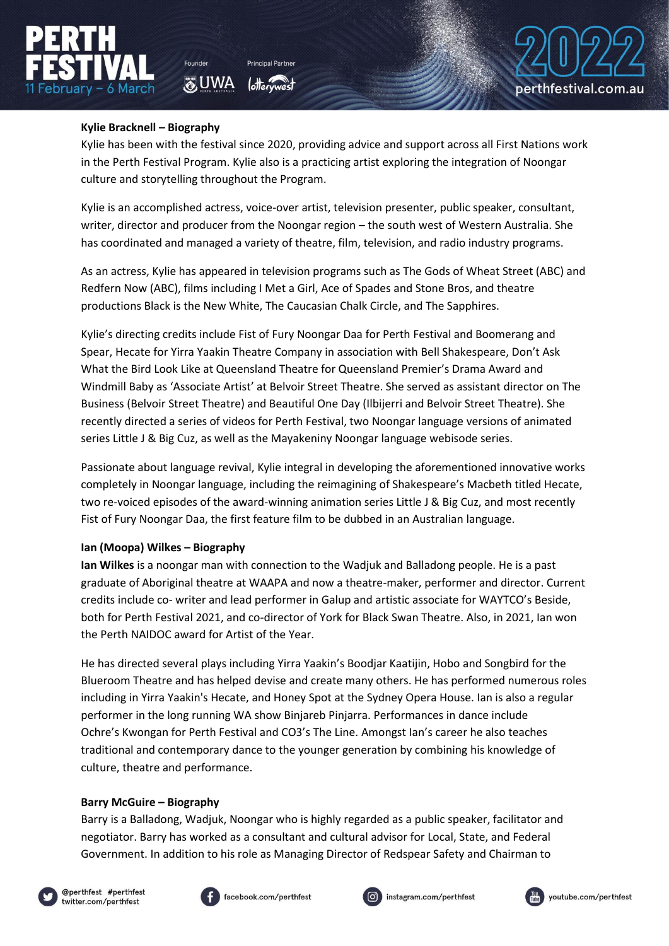

**O**UWA



### **Kylie Bracknell – Biography**

Kylie has been with the festival since 2020, providing advice and support across all First Nations work in the Perth Festival Program. Kylie also is a practicing artist exploring the integration of Noongar culture and storytelling throughout the Program.

Kylie is an accomplished actress, voice-over artist, television presenter, public speaker, consultant, writer, director and producer from the Noongar region – the south west of Western Australia. She has coordinated and managed a variety of theatre, film, television, and radio industry programs.

As an actress, Kylie has appeared in television programs such as The Gods of Wheat Street (ABC) and Redfern Now (ABC), films including I Met a Girl, Ace of Spades and Stone Bros, and theatre productions Black is the New White, The Caucasian Chalk Circle, and The Sapphires.

Kylie's directing credits include Fist of Fury Noongar Daa for Perth Festival and Boomerang and Spear, Hecate for Yirra Yaakin Theatre Company in association with Bell Shakespeare, Don't Ask What the Bird Look Like at Queensland Theatre for Queensland Premier's Drama Award and Windmill Baby as 'Associate Artist' at Belvoir Street Theatre. She served as assistant director on The Business (Belvoir Street Theatre) and Beautiful One Day (Ilbijerri and Belvoir Street Theatre). She recently directed a series of videos for Perth Festival, two Noongar language versions of animated series Little J & Big Cuz, as well as the Mayakeniny Noongar language webisode series.

Passionate about language revival, Kylie integral in developing the aforementioned innovative works completely in Noongar language, including the reimagining of Shakespeare's Macbeth titled Hecate, two re-voiced episodes of the award-winning animation series Little J & Big Cuz, and most recently Fist of Fury Noongar Daa, the first feature film to be dubbed in an Australian language.

#### **Ian (Moopa) Wilkes – Biography**

**Ian Wilkes** is a noongar man with connection to the Wadjuk and Balladong people. He is a past graduate of Aboriginal theatre at WAAPA and now a theatre-maker, performer and director. Current credits include co- writer and lead performer in Galup and artistic associate for WAYTCO's Beside, both for Perth Festival 2021, and co-director of York for Black Swan Theatre. Also, in 2021, Ian won the Perth NAIDOC award for Artist of the Year.

He has directed several plays including Yirra Yaakin's Boodjar Kaatijin, Hobo and Songbird for the Blueroom Theatre and has helped devise and create many others. He has performed numerous roles including in Yirra Yaakin's Hecate, and Honey Spot at the Sydney Opera House. Ian is also a regular performer in the long running WA show Binjareb Pinjarra. Performances in dance include Ochre's Kwongan for Perth Festival and CO3's The Line. Amongst Ian's career he also teaches traditional and contemporary dance to the younger generation by combining his knowledge of culture, theatre and performance.

#### **Barry McGuire – Biography**

Barry is a Balladong, Wadjuk, Noongar who is highly regarded as a public speaker, facilitator and negotiator. Barry has worked as a consultant and cultural advisor for Local, State, and Federal Government. In addition to his role as Managing Director of Redspear Safety and Chairman to







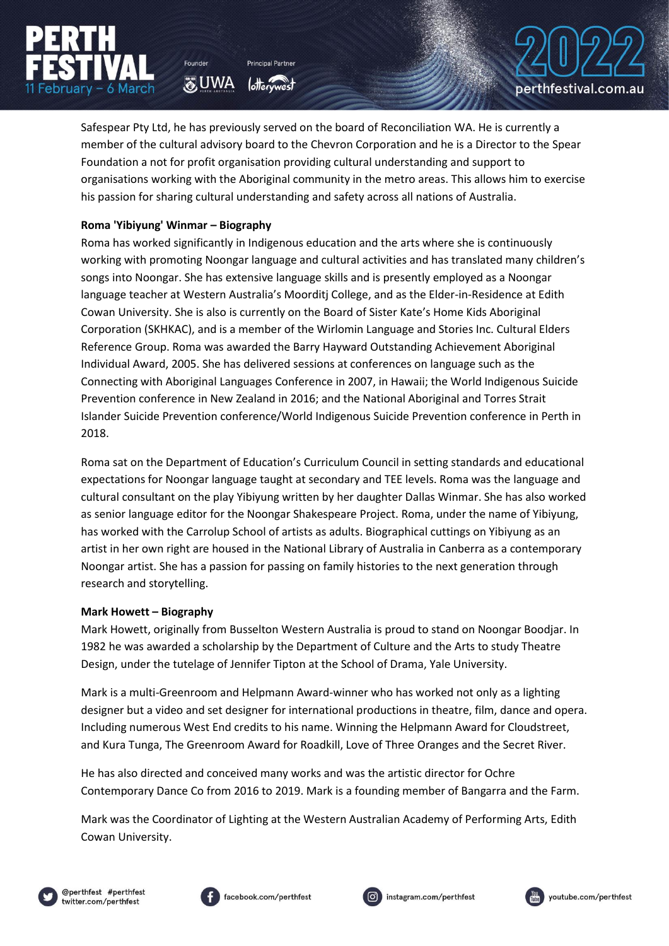

Safespear Pty Ltd, he has previously served on the board of Reconciliation WA. He is currently a member of the cultural advisory board to the Chevron Corporation and he is a Director to the Spear Foundation a not for profit organisation providing cultural understanding and support to organisations working with the Aboriginal community in the metro areas. This allows him to exercise his passion for sharing cultural understanding and safety across all nations of Australia.

## **Roma 'Yibiyung' Winmar – Biography**

**O**UWA

Roma has worked significantly in Indigenous education and the arts where she is continuously working with promoting Noongar language and cultural activities and has translated many children's songs into Noongar. She has extensive language skills and is presently employed as a Noongar language teacher at Western Australia's Moorditj College, and as the Elder-in-Residence at Edith Cowan University. She is also is currently on the Board of Sister Kate's Home Kids Aboriginal Corporation (SKHKAC), and is a member of the Wirlomin Language and Stories Inc. Cultural Elders Reference Group. Roma was awarded the Barry Hayward Outstanding Achievement Aboriginal Individual Award, 2005. She has delivered sessions at conferences on language such as the Connecting with Aboriginal Languages Conference in 2007, in Hawaii; the World Indigenous Suicide Prevention conference in New Zealand in 2016; and the National Aboriginal and Torres Strait Islander Suicide Prevention conference/World Indigenous Suicide Prevention conference in Perth in 2018.

Roma sat on the Department of Education's Curriculum Council in setting standards and educational expectations for Noongar language taught at secondary and TEE levels. Roma was the language and cultural consultant on the play Yibiyung written by her daughter Dallas Winmar. She has also worked as senior language editor for the Noongar Shakespeare Project. Roma, under the name of Yibiyung, has worked with the Carrolup School of artists as adults. Biographical cuttings on Yibiyung as an artist in her own right are housed in the National Library of Australia in Canberra as a contemporary Noongar artist. She has a passion for passing on family histories to the next generation through research and storytelling.

#### **Mark Howett – Biography**

Mark Howett, originally from Busselton Western Australia is proud to stand on Noongar Boodjar. In 1982 he was awarded a scholarship by the Department of Culture and the Arts to study Theatre Design, under the tutelage of Jennifer Tipton at the School of Drama, Yale University.

Mark is a multi-Greenroom and Helpmann Award-winner who has worked not only as a lighting designer but a video and set designer for international productions in theatre, film, dance and opera. Including numerous West End credits to his name. Winning the Helpmann Award for Cloudstreet, and Kura Tunga, The Greenroom Award for Roadkill, Love of Three Oranges and the Secret River.

He has also directed and conceived many works and was the artistic director for Ochre Contemporary Dance Co from 2016 to 2019. Mark is a founding member of Bangarra and the Farm.

Mark was the Coordinator of Lighting at the Western Australian Academy of Performing Arts, Edith Cowan University.









perthfestival.com.au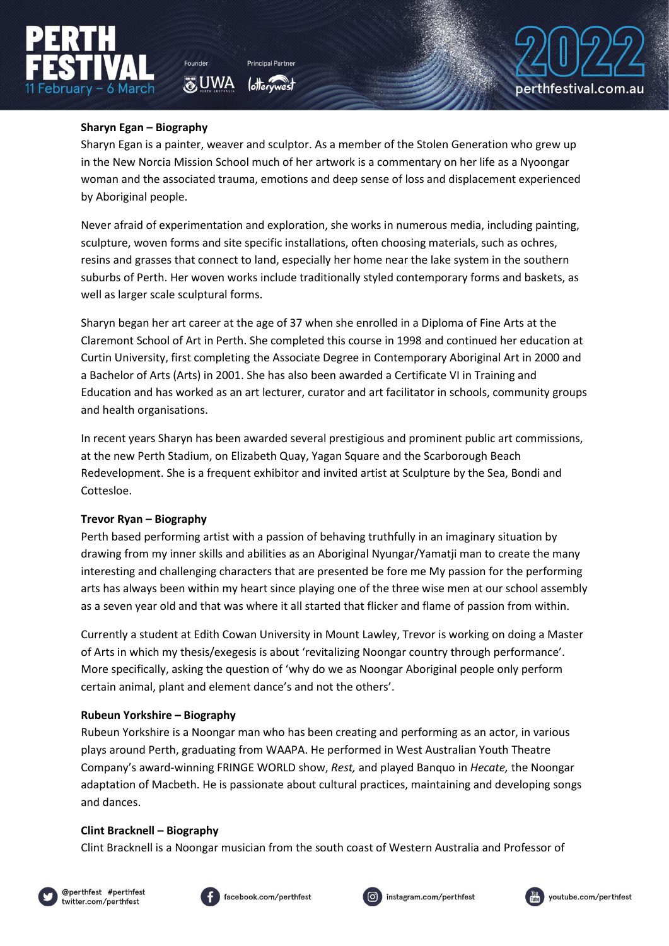### **Sharyn Egan – Biography**

Founder

**O**UWA

Sharyn Egan is a painter, weaver and sculptor. As a member of the Stolen Generation who grew up in the New Norcia Mission School much of her artwork is a commentary on her life as a Nyoongar woman and the associated trauma, emotions and deep sense of loss and displacement experienced by Aboriginal people.

Never afraid of experimentation and exploration, she works in numerous media, including painting, sculpture, woven forms and site specific installations, often choosing materials, such as ochres, resins and grasses that connect to land, especially her home near the lake system in the southern suburbs of Perth. Her woven works include traditionally styled contemporary forms and baskets, as well as larger scale sculptural forms.

Sharyn began her art career at the age of 37 when she enrolled in a Diploma of Fine Arts at the Claremont School of Art in Perth. She completed this course in 1998 and continued her education at Curtin University, first completing the Associate Degree in Contemporary Aboriginal Art in 2000 and a Bachelor of Arts (Arts) in 2001. She has also been awarded a Certificate VI in Training and Education and has worked as an art lecturer, curator and art facilitator in schools, community groups and health organisations.

In recent years Sharyn has been awarded several prestigious and prominent public art commissions, at the new Perth Stadium, on Elizabeth Quay, Yagan Square and the Scarborough Beach Redevelopment. She is a frequent exhibitor and invited artist at Sculpture by the Sea, Bondi and Cottesloe.

## **Trevor Ryan – Biography**

Perth based performing artist with a passion of behaving truthfully in an imaginary situation by drawing from my inner skills and abilities as an Aboriginal Nyungar/Yamatji man to create the many interesting and challenging characters that are presented be fore me My passion for the performing arts has always been within my heart since playing one of the three wise men at our school assembly as a seven year old and that was where it all started that flicker and flame of passion from within.

Currently a student at Edith Cowan University in Mount Lawley, Trevor is working on doing a Master of Arts in which my thesis/exegesis is about 'revitalizing Noongar country through performance'. More specifically, asking the question of 'why do we as Noongar Aboriginal people only perform certain animal, plant and element dance's and not the others'.

## **Rubeun Yorkshire – Biography**

Rubeun Yorkshire is a Noongar man who has been creating and performing as an actor, in various plays around Perth, graduating from WAAPA. He performed in West Australian Youth Theatre Company's award-winning FRINGE WORLD show, *Rest,* and played Banquo in *Hecate,* the Noongar adaptation of Macbeth. He is passionate about cultural practices, maintaining and developing songs and dances.

## **Clint Bracknell – Biography**

Clint Bracknell is a Noongar musician from the south coast of Western Australia and Professor of









perthfestival.com.au